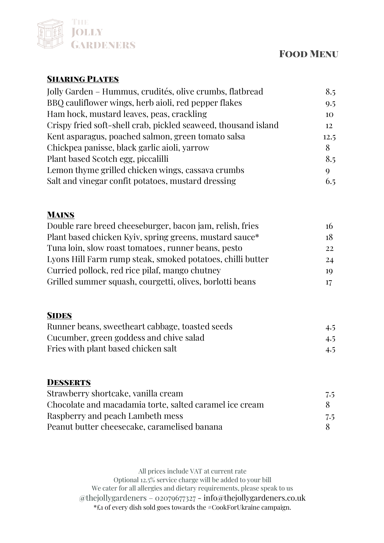## THE **JOLLY GARDENERS**

# **FOOD MENU**

### **SHARING PLATES**

| Jolly Garden – Hummus, crudités, olive crumbs, flatbread       | 8.5  |
|----------------------------------------------------------------|------|
| BBQ cauliflower wings, herb aioli, red pepper flakes           | 9.5  |
| Ham hock, mustard leaves, peas, crackling                      | 10   |
| Crispy fried soft-shell crab, pickled seaweed, thousand island | 12   |
| Kent asparagus, poached salmon, green tomato salsa             | 12.5 |
| Chickpea panisse, black garlic aioli, yarrow                   | 8    |
| Plant based Scotch egg, piccalilli                             | 8.5  |
| Lemon thyme grilled chicken wings, cassava crumbs              | Q    |
| Salt and vinegar confit potatoes, mustard dressing             | 6.5  |

### **MAINS**

| Double rare breed cheeseburger, bacon jam, relish, fries   | 16 |
|------------------------------------------------------------|----|
| Plant based chicken Kyiv, spring greens, mustard sauce*    | 18 |
| Tuna loin, slow roast tomatoes, runner beans, pesto        | 22 |
| Lyons Hill Farm rump steak, smoked potatoes, chilli butter | 24 |
| Curried pollock, red rice pilaf, mango chutney             | 10 |
| Grilled summer squash, courgetti, olives, borlotti beans   | 17 |

#### **SIDES**

| Runner beans, sweetheart cabbage, toasted seeds | 4.5 |
|-------------------------------------------------|-----|
| Cucumber, green goddess and chive salad         | 4.5 |
| Fries with plant based chicken salt             | 4.5 |

#### **DESSERTS**

| Strawberry shortcake, vanilla cream                     | 7.5          |
|---------------------------------------------------------|--------------|
| Chocolate and macadamia torte, salted caramel ice cream | $\mathsf{X}$ |
| Raspberry and peach Lambeth mess                        | 7.5          |
| Peanut butter cheesecake, caramelised banana            | $\mathbf{x}$ |

All prices include VAT at current rate Optional 12.5% service charge will be added to your bill We cater for all allergies and dietary requirements, please speak to us @thejollygardeners – 02079677327 - info@thejollygardeners.co.uk \*£1 of every dish sold goes towards the #CookForUkraine campaign.